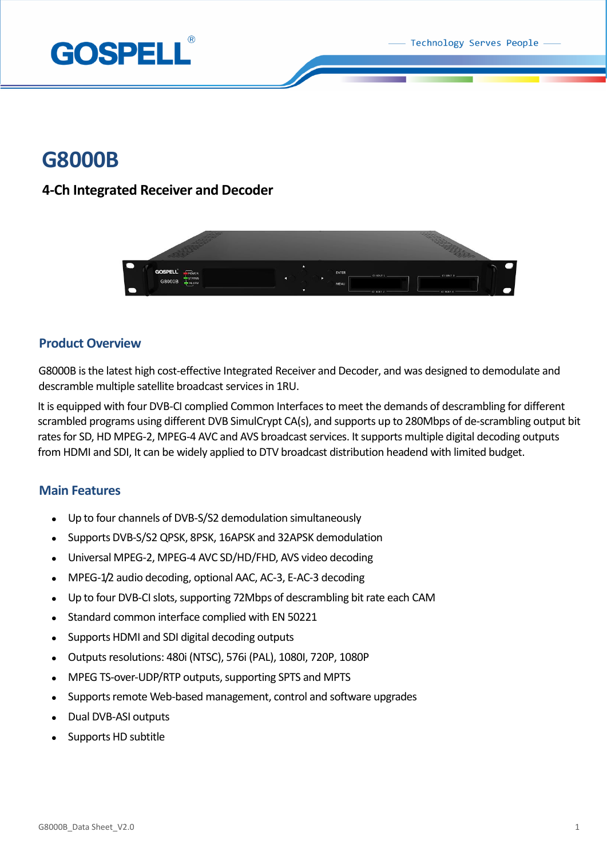Technology Serves People



# **G8000B**

## **4-Ch Integrated Receiver and Decoder**



#### **Product Overview**

G8000B is the latest high cost-effective Integrated Receiver and Decoder, and was designed to demodulate and descramble multiple satellite broadcast services in 1RU.

It is equipped with four DVB-CI complied Common Interfaces to meet the demands of descrambling for different scrambled programs using different DVB SimulCrypt CA(s), and supports up to 280Mbps of de-scrambling output bit rates for SD, HD MPEG-2, MPEG-4 AVC and AVS broadcast services. It supports multiple digital decoding outputs from HDMI and SDI, It can be widely applied to DTV broadcast distribution headend with limited budget.

#### **Main Features**

- Up to four channels of DVB-S/S2 demodulation simultaneously
- Supports DVB-S/S2 QPSK, 8PSK, 16APSK and 32APSK demodulation
- Universal MPEG-2, MPEG-4 AVC SD/HD/FHD, AVS video decoding
- MPEG-1/2 audio decoding, optional AAC, AC-3, E-AC-3 decoding
- Up to four DVB-CI slots, supporting 72Mbps of descrambling bit rate each CAM
- Standard common interface complied with EN 50221
- Supports HDMI and SDI digital decoding outputs
- Outputs resolutions: 480i (NTSC), 576i (PAL), 1080I, 720P, 1080P
- MPEG TS-over-UDP/RTP outputs, supporting SPTS and MPTS
- Supports remote Web-based management, control and software upgrades
- Dual DVB-ASI outputs
- Supports HD subtitle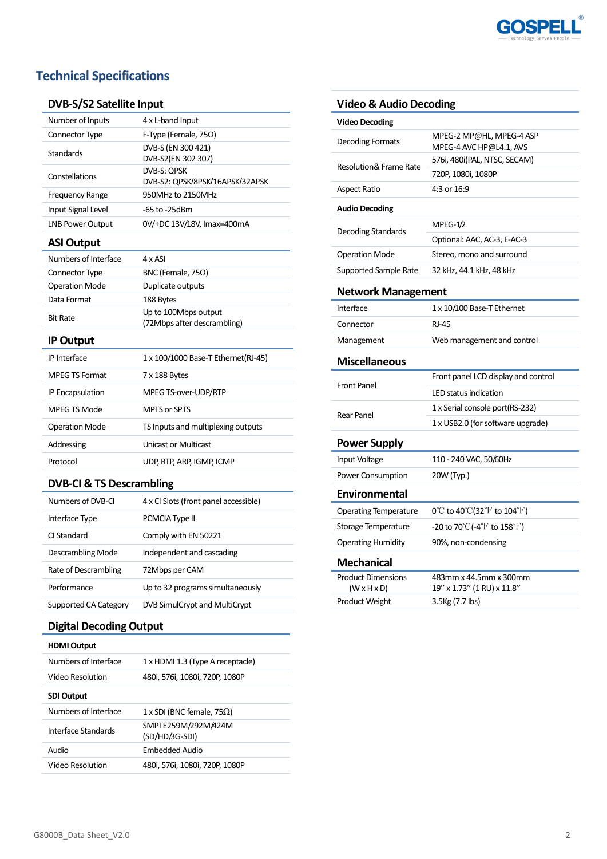

## **Technical Specifications**

#### **DVB-S/S2 Satellite Input**

| Number of Inputs            | 4 x L-band Input                               |
|-----------------------------|------------------------------------------------|
| <b>Connector Type</b>       | F-Type (Female, $75\Omega$ )                   |
| Standards<br>Constellations | DVB-S (EN 300 421)                             |
|                             | DVB-S2(EN 302 307)                             |
|                             | DVB-S: OPSK<br>DVB-S2: QPSK/8PSK/16APSK/32APSK |
| <b>Frequency Range</b>      | 950MHz to 2150MHz                              |
| Input Signal Level          | -65 to -25dBm                                  |
| <b>LNB Power Output</b>     | 0V/+DC 13V/18V, Imax=400mA                     |
| <b>ASI Output</b>           |                                                |
| Numbers of Interface        | 4 x ASI                                        |
|                             |                                                |
| Connector Type              | BNC (Female, $75\Omega$ )                      |
| <b>Operation Mode</b>       | Duplicate outputs                              |
| Data Format                 | 188 Bytes                                      |
| <b>Bit Rate</b>             | Up to 100Mbps output                           |
|                             | (72Mbps after descrambling)                    |
| <b>IP Output</b>            |                                                |
| <b>IP</b> Interface         | 1 x 100/1000 Base-T Ethernet(RJ-45)            |
| <b>MPEG TS Format</b>       | 7 x 188 Bytes                                  |
| IP Encapsulation            | MPEG TS-over-UDP/RTP                           |
| MPEG TS Mode                | MPTS or SPTS                                   |
| <b>Operation Mode</b>       | TS Inputs and multiplexing outputs             |
| Addressing                  | <b>Unicast or Multicast</b>                    |
| Protocol                    | UDP, RTP, ARP, IGMP, ICMP                      |
|                             |                                                |

#### **DVB-CI & TS Descrambling**

| Numbers of DVB-CL     | 4 x CI Slots (front panel accessible) |
|-----------------------|---------------------------------------|
| Interface Type        | PCMCIA Type II                        |
| CI Standard           | Comply with EN 50221                  |
| Descrambling Mode     | Independent and cascading             |
| Rate of Descrambling  | 72Mbps per CAM                        |
| Performance           | Up to 32 programs simultaneously      |
| Supported CA Category | DVB SimulCrypt and MultiCrypt         |

### **Digital Decoding Output**

| <b>HDMI Output</b>   |                                       |
|----------------------|---------------------------------------|
| Numbers of Interface | 1 x HDMI 1.3 (Type A receptacle)      |
| Video Resolution     | 480i, 576i, 1080i, 720P, 1080P        |
| <b>SDI Output</b>    |                                       |
| Numbers of Interface | 1 x SDI (BNC female, 75 $\Omega$ )    |
| Interface Standards  | SMPTE259M/292M/424M<br>(SD/HD/3G-SDI) |
| <b>Audio</b>         | Embedded Audio                        |
| Video Resolution     | 480i, 576i, 1080i, 720P, 1080P        |

#### **Video & Audio Decoding**

| <b>Video Decoding</b>             |                                                                       |  |
|-----------------------------------|-----------------------------------------------------------------------|--|
| Decoding Formats                  | MPEG-2 MP@HL, MPEG-4 ASP<br>MPEG-4 AVC HP@L4.1, AVS                   |  |
| <b>Resolution&amp; Frame Rate</b> | 576i, 480i(PAL, NTSC, SECAM)                                          |  |
|                                   | 720P, 1080i, 1080P                                                    |  |
| <b>Aspect Ratio</b>               | 4:3 or 16:9                                                           |  |
| <b>Audio Decoding</b>             |                                                                       |  |
| Decoding Standards                | $MPEG-1/2$                                                            |  |
|                                   | Optional: AAC, AC-3, E-AC-3                                           |  |
| <b>Operation Mode</b>             | Stereo, mono and surround                                             |  |
| Supported Sample Rate             | 32 kHz, 44.1 kHz, 48 kHz                                              |  |
| <b>Network Management</b>         |                                                                       |  |
| Interface                         | 1 x 10/100 Base-T Ethernet                                            |  |
| Connector                         | <b>RJ-45</b>                                                          |  |
| Management                        | Web management and control                                            |  |
| <b>Miscellaneous</b>              |                                                                       |  |
|                                   | Front panel LCD display and control                                   |  |
| <b>Front Panel</b>                | <b>LED status indication</b>                                          |  |
| Rear Panel                        | 1 x Serial console port(RS-232)                                       |  |
|                                   | 1 x USB2.0 (for software upgrade)                                     |  |
| <b>Power Supply</b>               |                                                                       |  |
| Input Voltage                     | 110 - 240 VAC, 50/60Hz                                                |  |
| Power Consumption                 | 20W (Typ.)                                                            |  |
| <b>Environmental</b>              |                                                                       |  |
| <b>Operating Temperature</b>      | $0^{\circ}$ C to 40 $^{\circ}$ C(32 $^{\circ}$ F to 104 $^{\circ}$ F) |  |
| Storage Temperature               | -20 to 70°C(-4°F to 158°F)                                            |  |
| <b>Operating Humidity</b>         | 90%, non-condensing                                                   |  |
| <b>Mechanical</b>                 |                                                                       |  |
| <b>Product Dimensions</b>         | 483mm x 44.5mm x 300mm                                                |  |
| (WxHxD)                           | 19" x 1.73" (1 RU) x 11.8"                                            |  |
| Product Weight                    | 3.5Kg (7.7 lbs)                                                       |  |